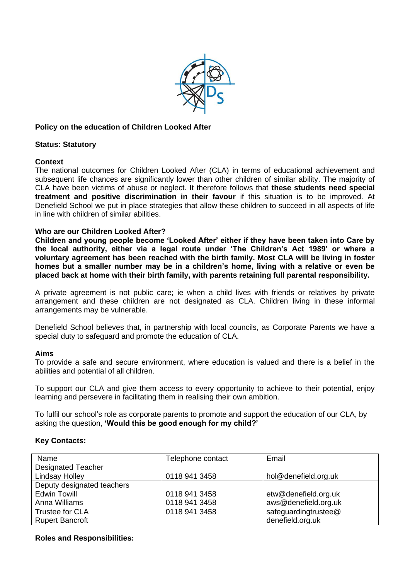

### **Policy on the education of Children Looked After**

#### **Status: Statutory**

#### **Context**

The national outcomes for Children Looked After (CLA) in terms of educational achievement and subsequent life chances are significantly lower than other children of similar ability. The majority of CLA have been victims of abuse or neglect. It therefore follows that **these students need special treatment and positive discrimination in their favour** if this situation is to be improved. At Denefield School we put in place strategies that allow these children to succeed in all aspects of life in line with children of similar abilities.

### **Who are our Children Looked After?**

**Children and young people become 'Looked After' either if they have been taken into Care by the local authority, either via a legal route under 'The Children's Act 1989' or where a voluntary agreement has been reached with the birth family. Most CLA will be living in foster homes but a smaller number may be in a children's home, living with a relative or even be placed back at home with their birth family, with parents retaining full parental responsibility.**

A private agreement is not public care; ie when a child lives with friends or relatives by private arrangement and these children are not designated as CLA. Children living in these informal arrangements may be vulnerable.

Denefield School believes that, in partnership with local councils, as Corporate Parents we have a special duty to safeguard and promote the education of CLA.

#### **Aims**

To provide a safe and secure environment, where education is valued and there is a belief in the abilities and potential of all children.

To support our CLA and give them access to every opportunity to achieve to their potential, enjoy learning and persevere in facilitating them in realising their own ambition.

To fulfil our school's role as corporate parents to promote and support the education of our CLA, by asking the question, **'Would this be good enough for my child?'**

### **Key Contacts:**

| Name                       | Telephone contact | Email                |
|----------------------------|-------------------|----------------------|
| <b>Designated Teacher</b>  |                   |                      |
| <b>Lindsay Holley</b>      | 0118 941 3458     | hol@denefield.org.uk |
| Deputy designated teachers |                   |                      |
| <b>Edwin Towill</b>        | 0118 941 3458     | etw@denefield.org.uk |
| Anna Williams              | 0118 941 3458     | aws@denefield.org.uk |
| <b>Trustee for CLA</b>     | 0118 941 3458     | safeguardingtrustee@ |
| <b>Rupert Bancroft</b>     |                   | denefield.org.uk     |

### **Roles and Responsibilities:**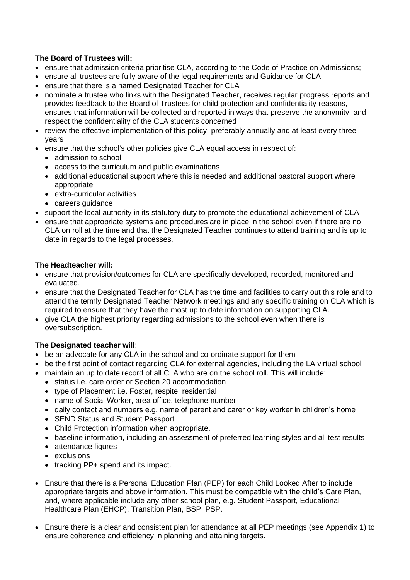# **The Board of Trustees will:**

- ensure that admission criteria prioritise CLA, according to the Code of Practice on Admissions;
- ensure all trustees are fully aware of the legal requirements and Guidance for CLA
- ensure that there is a named Designated Teacher for CLA
- nominate a trustee who links with the Designated Teacher, receives regular progress reports and provides feedback to the Board of Trustees for child protection and confidentiality reasons, ensures that information will be collected and reported in ways that preserve the anonymity, and respect the confidentiality of the CLA students concerned
- review the effective implementation of this policy, preferably annually and at least every three years
- ensure that the school's other policies give CLA equal access in respect of:
	- admission to school
	- access to the curriculum and public examinations
	- additional educational support where this is needed and additional pastoral support where appropriate
	- extra-curricular activities
	- careers guidance
- support the local authority in its statutory duty to promote the educational achievement of CLA
- ensure that appropriate systems and procedures are in place in the school even if there are no CLA on roll at the time and that the Designated Teacher continues to attend training and is up to date in regards to the legal processes.

### **The Headteacher will:**

- ensure that provision/outcomes for CLA are specifically developed, recorded, monitored and evaluated.
- ensure that the Designated Teacher for CLA has the time and facilities to carry out this role and to attend the termly Designated Teacher Network meetings and any specific training on CLA which is required to ensure that they have the most up to date information on supporting CLA.
- give CLA the highest priority regarding admissions to the school even when there is oversubscription.

# **The Designated teacher will**:

- be an advocate for any CLA in the school and co-ordinate support for them
- be the first point of contact regarding CLA for external agencies, including the LA virtual school
- maintain an up to date record of all CLA who are on the school roll. This will include:
	- status i.e. care order or Section 20 accommodation
	- type of Placement i.e. Foster, respite, residential
	- name of Social Worker, area office, telephone number
	- daily contact and numbers e.g. name of parent and carer or key worker in children's home
	- SEND Status and Student Passport
	- Child Protection information when appropriate.
	- baseline information, including an assessment of preferred learning styles and all test results
	- attendance figures
	- exclusions
	- tracking PP+ spend and its impact.
- Ensure that there is a Personal Education Plan (PEP) for each Child Looked After to include appropriate targets and above information. This must be compatible with the child's Care Plan, and, where applicable include any other school plan, e.g. Student Passport, Educational Healthcare Plan (EHCP), Transition Plan, BSP, PSP.
- Ensure there is a clear and consistent plan for attendance at all PEP meetings (see Appendix 1) to ensure coherence and efficiency in planning and attaining targets.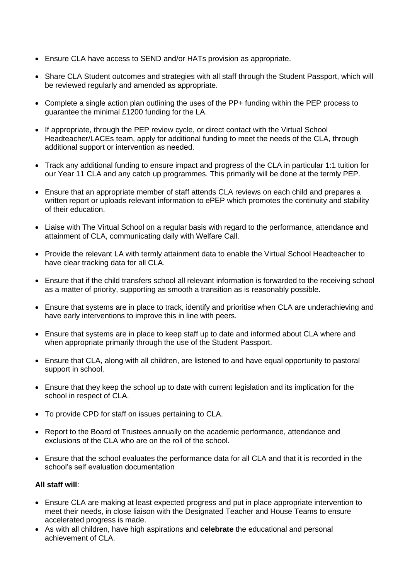- Ensure CLA have access to SEND and/or HATs provision as appropriate.
- Share CLA Student outcomes and strategies with all staff through the Student Passport, which will be reviewed regularly and amended as appropriate.
- Complete a single action plan outlining the uses of the PP+ funding within the PEP process to guarantee the minimal £1200 funding for the LA.
- If appropriate, through the PEP review cycle, or direct contact with the Virtual School Headteacher/LACEs team, apply for additional funding to meet the needs of the CLA, through additional support or intervention as needed.
- Track any additional funding to ensure impact and progress of the CLA in particular 1:1 tuition for our Year 11 CLA and any catch up programmes. This primarily will be done at the termly PEP.
- Ensure that an appropriate member of staff attends CLA reviews on each child and prepares a written report or uploads relevant information to ePEP which promotes the continuity and stability of their education.
- Liaise with The Virtual School on a regular basis with regard to the performance, attendance and attainment of CLA, communicating daily with Welfare Call.
- Provide the relevant LA with termly attainment data to enable the Virtual School Headteacher to have clear tracking data for all CLA.
- Ensure that if the child transfers school all relevant information is forwarded to the receiving school as a matter of priority, supporting as smooth a transition as is reasonably possible.
- Ensure that systems are in place to track, identify and prioritise when CLA are underachieving and have early interventions to improve this in line with peers.
- Ensure that systems are in place to keep staff up to date and informed about CLA where and when appropriate primarily through the use of the Student Passport.
- Ensure that CLA, along with all children, are listened to and have equal opportunity to pastoral support in school.
- Ensure that they keep the school up to date with current legislation and its implication for the school in respect of CLA.
- To provide CPD for staff on issues pertaining to CLA.
- Report to the Board of Trustees annually on the academic performance, attendance and exclusions of the CLA who are on the roll of the school.
- Ensure that the school evaluates the performance data for all CLA and that it is recorded in the school's self evaluation documentation

### **All staff will**:

- Ensure CLA are making at least expected progress and put in place appropriate intervention to meet their needs, in close liaison with the Designated Teacher and House Teams to ensure accelerated progress is made.
- As with all children, have high aspirations and **celebrate** the educational and personal achievement of CLA.